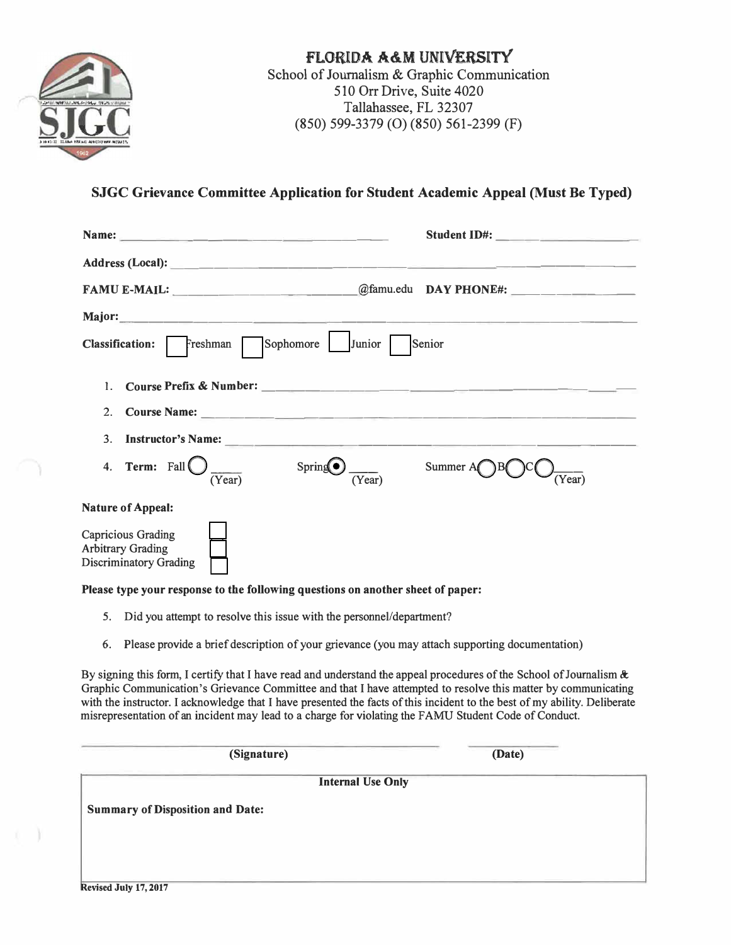

### FLORIDA A&M UNIVERSITY School of Journalism & Graphic Communication 510 Orr Drive, Suite 4020 Tallahassee, FL 32307 (850) 599-3379 (0) (850) 561-2399 (F)

## **SJGC Grievance Committee Application for Student Academic Appeal (Must Be Typed)**

|                                                                                        | Student ID#: |
|----------------------------------------------------------------------------------------|--------------|
|                                                                                        |              |
|                                                                                        |              |
|                                                                                        |              |
| Sophomore Junior<br>Senior<br>Freshman<br><b>Classification:</b>                       |              |
| 1.                                                                                     |              |
| 2.                                                                                     |              |
| 3.                                                                                     |              |
| 4. Term: $Fall()$<br>Spring(<br>(Year)<br>Year!                                        | Summer $A$   |
| <b>Nature of Appeal:</b>                                                               |              |
| <b>Capricious Grading</b><br><b>Arbitrary Grading</b><br><b>Discriminatory Grading</b> |              |

#### **Please type your response to the following questions on another sheet of paper:**

- 5. Did you attempt to resolve this issue with the personnel/department?
- 6. Please provide a brief description of your grievance (you may attach supporting documentation)

By signing this form, I certify that I have read and understand the appeal procedures of the School of Journalism  $\&$ Graphic Communication's Grievance Committee and that I have attempted to resolve this matter by communicating with the instructor. I acknowledge that I have presented the facts of this incident to the best of my ability. Deliberate misrepresentation of an incident may lead to a charge for violating the F AMU Student Code of Conduct.

**(Signature) (Date)** 

**Internal Use Only** 

**Summary of Disposition and Date:**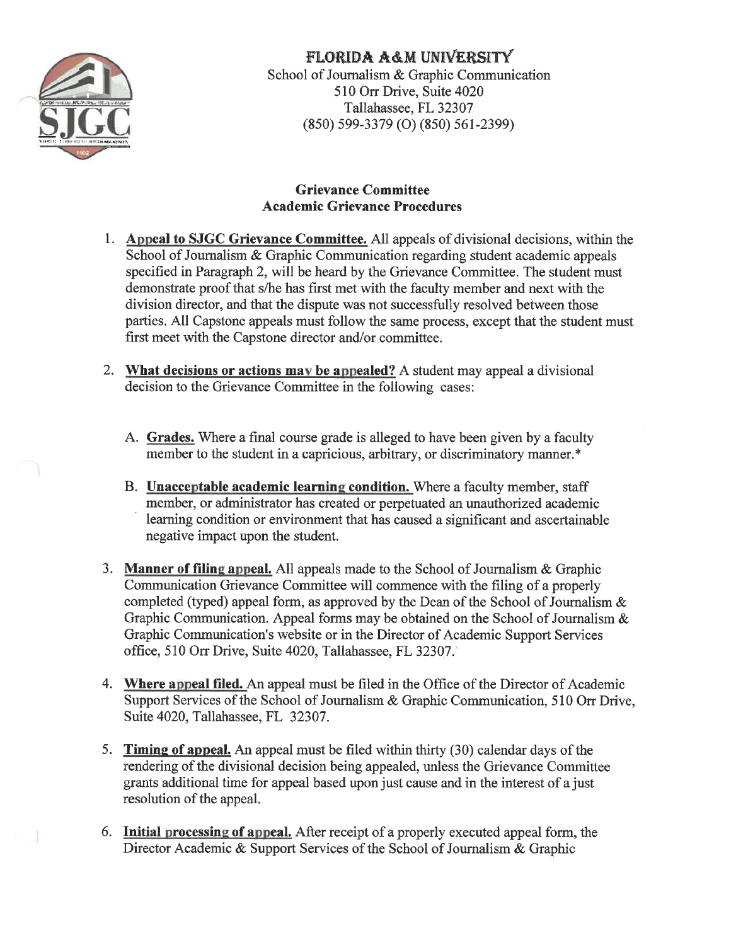

# **FLORIDA A&M UNIVERSITY**

School of Journalism & Graphic Communication 510 Orr Drive, Suite 4020 Tallahassee, FL 32307  $(850)$  599-3379 (O) (850) 561-2399)

### **Grievance Committee Academic Grievance Procedures**

- 1. Appeal to SJGC Grievance Committee. All appeals of divisional decisions, within the School of Journalism & Graphic Communication regarding student academic appeals specified in Paragraph 2, will be heard by the Grievance Committee. The student must demonstrate proof that s/he has first met with the faculty member and next with the division director, and that the dispute was not successfully resolved between those parties. All Capstone appeals must follow the same process, except that the student must first meet with the Capstone director and/or committee.
- 2. What decisions or actions may be appealed? A student may appeal a divisional decision to the Grievance Committee in the following cases:
	- A. Grades. Where a final course grade is alleged to have been given by a faculty member to the student in a capricious, arbitrary, or discriminatory manner.\*
	- B. Unacceptable academic learning condition. Where a faculty member, staff member, or administrator has created or perpetuated an unauthorized academic learning condition or environment that has caused a significant and ascertainable negative impact upon the student.
- 3. Manner of filing appeal. All appeals made to the School of Journalism & Graphic Communication Grievance Committee will commence with the filing of a properly completed (typed) appeal form, as approved by the Dean of the School of Journalism  $\&$ Graphic Communication. Appeal forms may be obtained on the School of Journalism  $\&$ Graphic Communication's website or in the Director of Academic Support Services office, 510 Orr Drive, Suite 4020, Tallahassee, FL 32307.
- 4. Where appeal filed. An appeal must be filed in the Office of the Director of Academic Support Services of the School of Journalism & Graphic Communication, 510 Orr Drive, Suite 4020, Tallahassee, FL 32307.
- 5. Timing of appeal. An appeal must be filed within thirty (30) calendar days of the rendering of the divisional decision being appealed, unless the Grievance Committee grants additional time for appeal based upon just cause and in the interest of a just resolution of the appeal.
- 6. Initial processing of appeal. After receipt of a properly executed appeal form, the Director Academic & Support Services of the School of Journalism & Graphic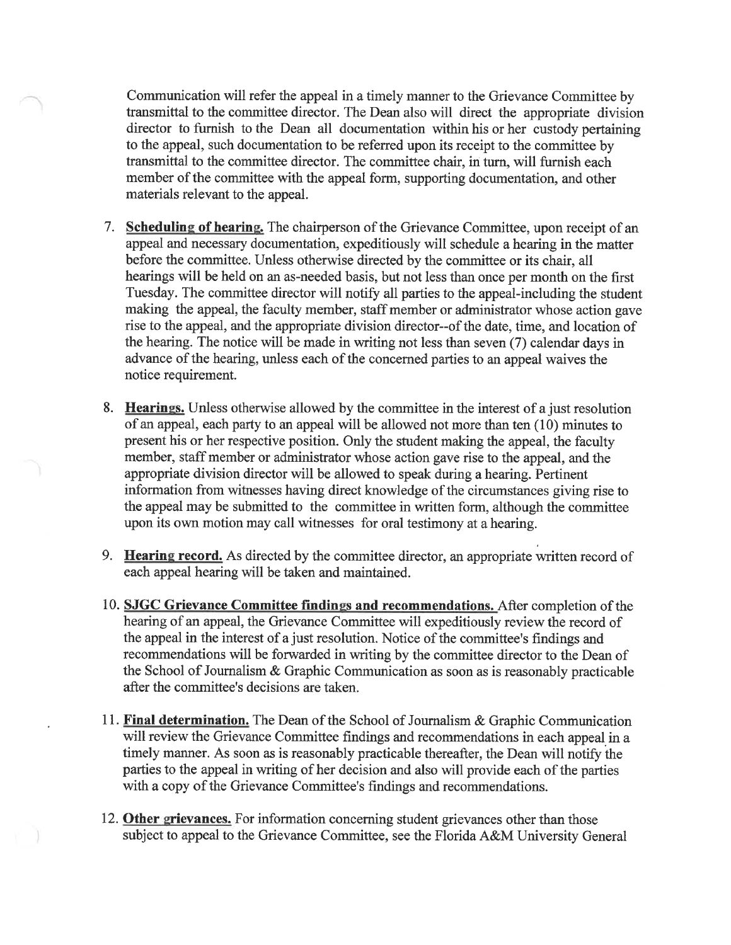Communication will refer the appeal in a timely manner to the Grievance Committee by transmittal to the committee director. The Dean also will direct the appropriate division director to furnish to the Dean all documentation within his or her custody pertaining to the appeal, such documentation to be referred upon its receipt to the committee by transmittal to the committee director. The committee chair, in turn, will furnish each member of the committee with the appeal form, supporting documentation, and other materials relevant to the appeal.

- 7. Scheduling of hearing. The chairperson of the Grievance Committee, upon receipt of an appeal and necessary documentation, expeditiously will schedule a hearing in the matter before the committee. Unless otherwise directed by the committee or its chair, all hearings will be held on an as-needed basis, but not less than once per month on the first Tuesday. The committee director will notify all parties to the appeal-including the student making the appeal, the faculty member, staff member or administrator whose action gave rise to the appeal, and the appropriate division director-of the date, time, and location of the hearing. The notice will be made in writing not less than seven (7) calendar days in advance of the hearing, unless each of the concerned parties to an appeal waives the notice requirement.
- 8. Hearings. Unless otherwise allowed by the committee in the interest of a just resolution of an appeal, each party to an appeal will be allowed not more than ten (10) minutes to present his or her respective position. Only the student making the appeal, the faculty member, staff member or administrator whose action gave rise to the appeal, and the appropriate division director will be allowed to speak during a hearing. Pertinent information from witnesses having direct knowledge of the circumstances giving rise to the appeal may be submitted to the committee in written form, although the committee upon its own motion may call witnesses for oral testimony at a hearing.
- 9. Hearing record. As directed by the committee director, an appropriate written record of each appeal hearing will be taken and maintained.
- 10. SJGC Grievance Committee findings and recommendations. After completion of the hearing of an appeal, the Grievance Committee will expeditiously review the record of the appeal in the interest of a just resolution. Notice of the committee's findings and recommendations will be forwarded in writing by the committee director to the Dean of the School of Journalism & Graphic Communication as soon as is reasonably practicable after the committee's decisions are taken.
- 11. Final determination. The Dean of the School of Journalism & Graphic Communication will review the Grievance Committee findings and recommendations in each appeal in a timely manner. As soon as is reasonably practicable thereafter, the Dean will notify the parties to the appeal in writing of her decision and also will provide each of the parties with a copy of the Grievance Committee's findings and recommendations.
- 12. Other grievances. For information concerning student grievances other than those subject to appeal to the Grievance Committee, see the Florida A&M University General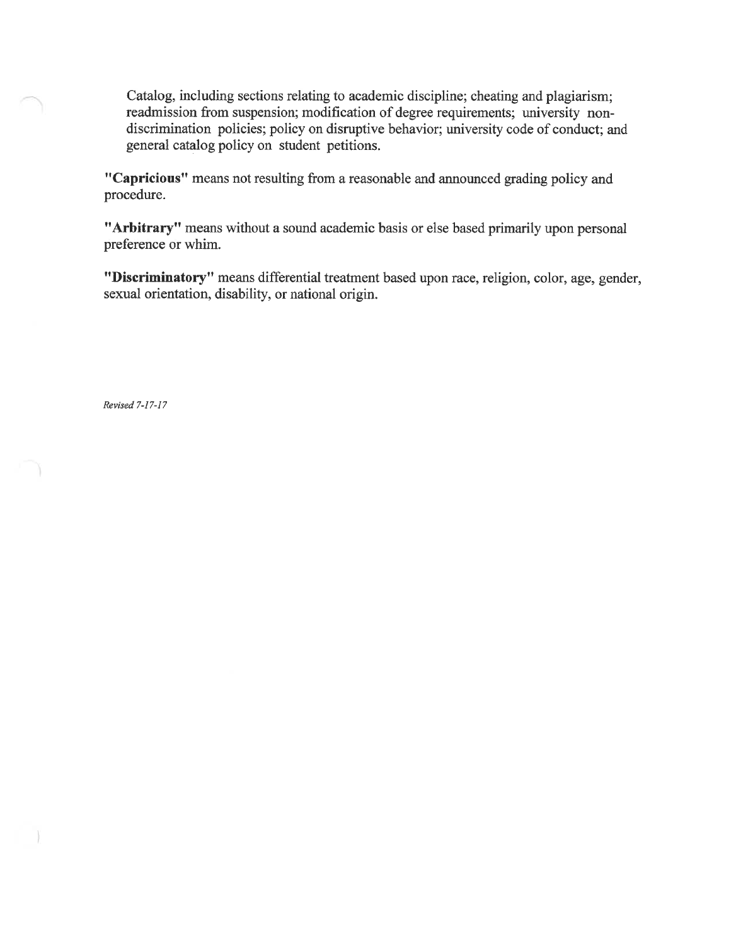Catalog, including sections relating to academic discipline; cheating and plagiarism; readmission from suspension; modification of degree requirements; university nondiscrimination policies; policy on disruptive behavior; university code of conduct; and general catalog policy on student petitions.

"Capricious" means not resulting from a reasonable and announced grading policy and procedure.

"Arbitrary" means without a sound academic basis or else based primarily upon personal preference or whim.

"Discriminatory" means differential treatment based upon race, religion, color, age, gender, sexual orientation, disability, or national origin.

Revised 7-17-17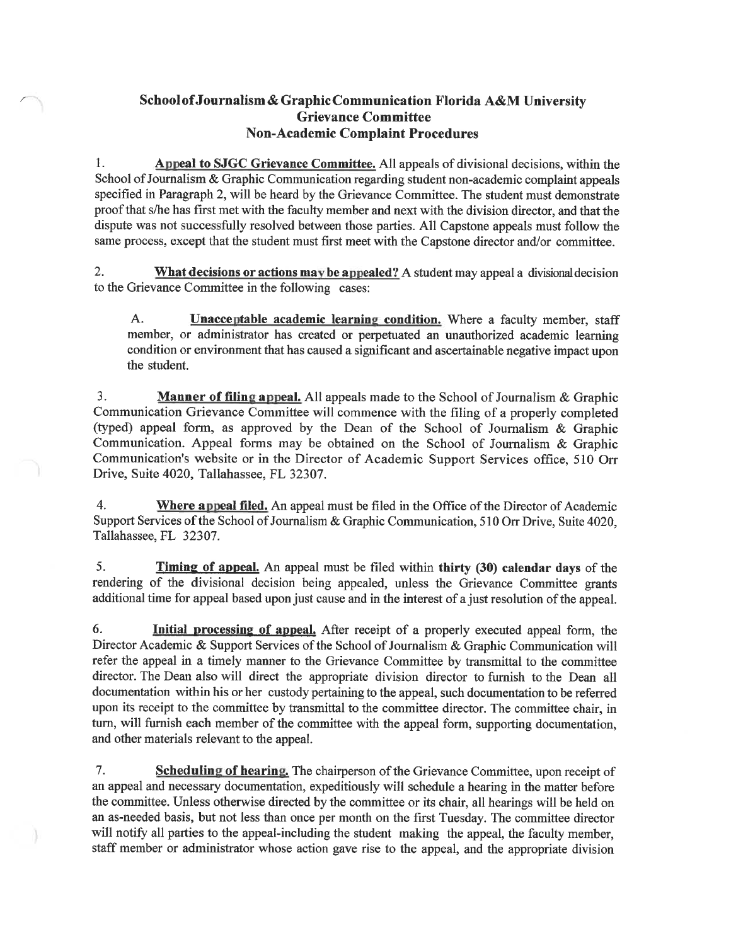### School of Journalism & Graphic Communication Florida A&M University **Grievance Committee Non-Academic Complaint Procedures**

1. Appeal to SJGC Grievance Committee. All appeals of divisional decisions, within the School of Journalism & Graphic Communication regarding student non-academic complaint appeals specified in Paragraph 2, will be heard by the Grievance Committee. The student must demonstrate proof that s/he has first met with the faculty member and next with the division director, and that the dispute was not successfully resolved between those parties. All Capstone appeals must follow the same process, except that the student must first meet with the Capstone director and/or committee.

 $2.$ What decisions or actions may be appealed? A student may appeal a divisional decision to the Grievance Committee in the following cases:

A. **Unacceptable academic learning condition.** Where a faculty member, staff member, or administrator has created or perpetuated an unauthorized academic learning condition or environment that has caused a significant and ascertainable negative impact upon the student.

3. **Manner of filing appeal.** All appeals made to the School of Journalism & Graphic Communication Grievance Committee will commence with the filing of a properly completed (typed) appeal form, as approved by the Dean of the School of Journalism & Graphic Communication. Appeal forms may be obtained on the School of Journalism & Graphic Communication's website or in the Director of Academic Support Services office, 510 Orr Drive, Suite 4020, Tallahassee, FL 32307.

 $\overline{4}$ . Where appeal filed. An appeal must be filed in the Office of the Director of Academic Support Services of the School of Journalism & Graphic Communication, 510 Orr Drive, Suite 4020, Tallahassee, FL 32307.

5. **Timing of appeal.** An appeal must be filed within thirty (30) calendar days of the rendering of the divisional decision being appealed, unless the Grievance Committee grants additional time for appeal based upon just cause and in the interest of a just resolution of the appeal.

6. Initial processing of appeal. After receipt of a properly executed appeal form, the Director Academic & Support Services of the School of Journalism & Graphic Communication will refer the appeal in a timely manner to the Grievance Committee by transmittal to the committee director. The Dean also will direct the appropriate division director to furnish to the Dean all documentation within his or her custody pertaining to the appeal, such documentation to be referred upon its receipt to the committee by transmittal to the committee director. The committee chair, in turn, will furnish each member of the committee with the appeal form, supporting documentation, and other materials relevant to the appeal.

7. **Scheduling of hearing.** The chairperson of the Grievance Committee, upon receipt of an appeal and necessary documentation, expeditiously will schedule a hearing in the matter before the committee. Unless otherwise directed by the committee or its chair, all hearings will be held on an as-needed basis, but not less than once per month on the first Tuesday. The committee director will notify all parties to the appeal-including the student making the appeal, the faculty member, staff member or administrator whose action gave rise to the appeal, and the appropriate division